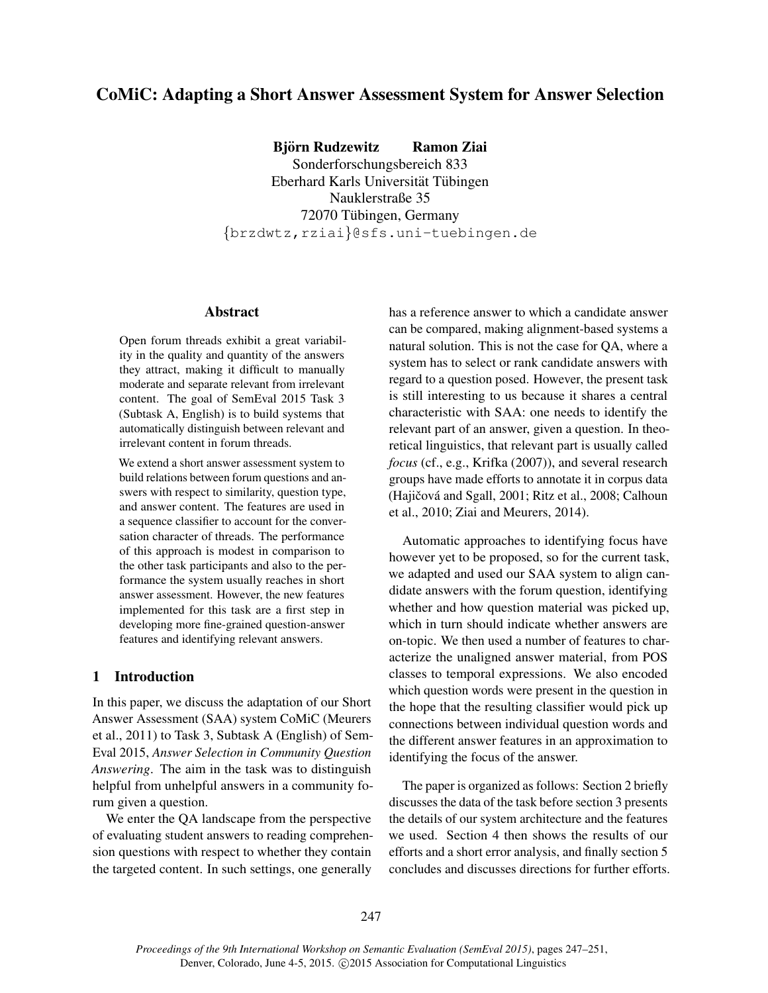# CoMiC: Adapting a Short Answer Assessment System for Answer Selection

Bjorn Rudzewitz Ramon Ziai ¨

Sonderforschungsbereich 833 Eberhard Karls Universität Tübingen Nauklerstraße 35 72070 Tübingen, Germany {brzdwtz,rziai}@sfs.uni-tuebingen.de

### Abstract

Open forum threads exhibit a great variability in the quality and quantity of the answers they attract, making it difficult to manually moderate and separate relevant from irrelevant content. The goal of SemEval 2015 Task 3 (Subtask A, English) is to build systems that automatically distinguish between relevant and irrelevant content in forum threads.

We extend a short answer assessment system to build relations between forum questions and answers with respect to similarity, question type, and answer content. The features are used in a sequence classifier to account for the conversation character of threads. The performance of this approach is modest in comparison to the other task participants and also to the performance the system usually reaches in short answer assessment. However, the new features implemented for this task are a first step in developing more fine-grained question-answer features and identifying relevant answers.

# 1 Introduction

In this paper, we discuss the adaptation of our Short Answer Assessment (SAA) system CoMiC (Meurers et al., 2011) to Task 3, Subtask A (English) of Sem-Eval 2015, *Answer Selection in Community Question Answering*. The aim in the task was to distinguish helpful from unhelpful answers in a community forum given a question.

We enter the QA landscape from the perspective of evaluating student answers to reading comprehension questions with respect to whether they contain the targeted content. In such settings, one generally

has a reference answer to which a candidate answer can be compared, making alignment-based systems a natural solution. This is not the case for QA, where a system has to select or rank candidate answers with regard to a question posed. However, the present task is still interesting to us because it shares a central characteristic with SAA: one needs to identify the relevant part of an answer, given a question. In theoretical linguistics, that relevant part is usually called *focus* (cf., e.g., Krifka (2007)), and several research groups have made efforts to annotate it in corpus data (Hajičová and Sgall, 2001; Ritz et al., 2008; Calhoun et al., 2010; Ziai and Meurers, 2014).

Automatic approaches to identifying focus have however yet to be proposed, so for the current task, we adapted and used our SAA system to align candidate answers with the forum question, identifying whether and how question material was picked up, which in turn should indicate whether answers are on-topic. We then used a number of features to characterize the unaligned answer material, from POS classes to temporal expressions. We also encoded which question words were present in the question in the hope that the resulting classifier would pick up connections between individual question words and the different answer features in an approximation to identifying the focus of the answer.

The paper is organized as follows: Section 2 briefly discusses the data of the task before section 3 presents the details of our system architecture and the features we used. Section 4 then shows the results of our efforts and a short error analysis, and finally section 5 concludes and discusses directions for further efforts.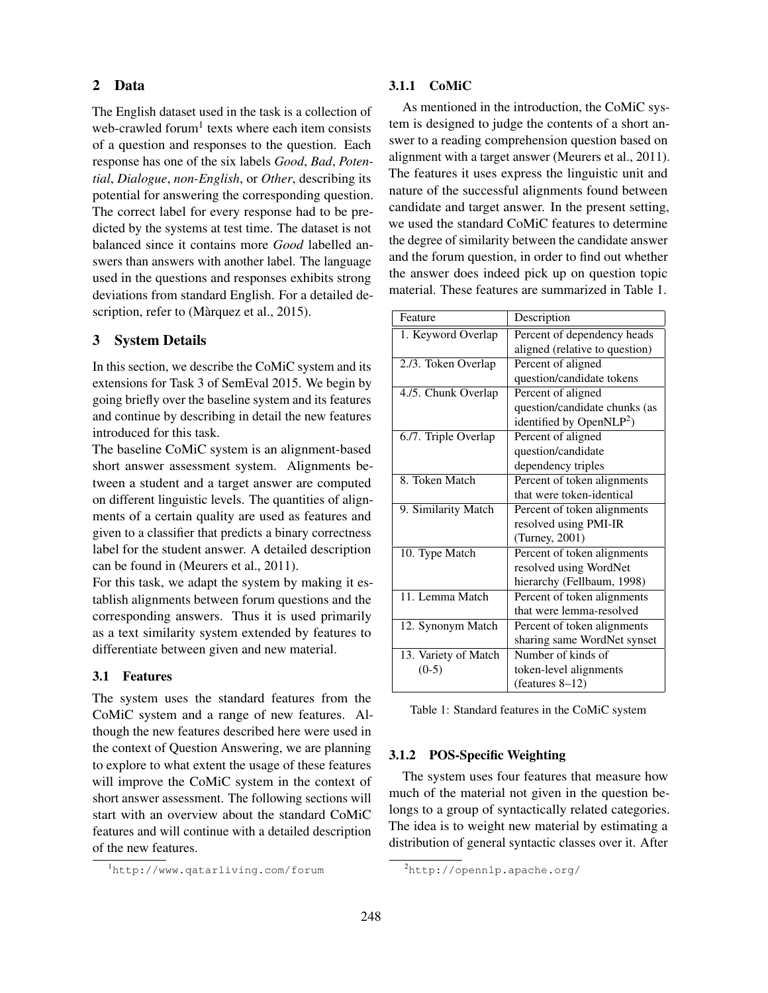# 2 Data

The English dataset used in the task is a collection of web-crawled forum<sup>1</sup> texts where each item consists of a question and responses to the question. Each response has one of the six labels *Good*, *Bad*, *Potential*, *Dialogue*, *non-English*, or *Other*, describing its potential for answering the corresponding question. The correct label for every response had to be predicted by the systems at test time. The dataset is not balanced since it contains more *Good* labelled answers than answers with another label. The language used in the questions and responses exhibits strong deviations from standard English. For a detailed description, refer to (Màrquez et al., 2015).

# 3 System Details

In this section, we describe the CoMiC system and its extensions for Task 3 of SemEval 2015. We begin by going briefly over the baseline system and its features and continue by describing in detail the new features introduced for this task.

The baseline CoMiC system is an alignment-based short answer assessment system. Alignments between a student and a target answer are computed on different linguistic levels. The quantities of alignments of a certain quality are used as features and given to a classifier that predicts a binary correctness label for the student answer. A detailed description can be found in (Meurers et al., 2011).

For this task, we adapt the system by making it establish alignments between forum questions and the corresponding answers. Thus it is used primarily as a text similarity system extended by features to differentiate between given and new material.

## 3.1 Features

The system uses the standard features from the CoMiC system and a range of new features. Although the new features described here were used in the context of Question Answering, we are planning to explore to what extent the usage of these features will improve the CoMiC system in the context of short answer assessment. The following sections will start with an overview about the standard CoMiC features and will continue with a detailed description of the new features.

#### 3.1.1 CoMiC

As mentioned in the introduction, the CoMiC system is designed to judge the contents of a short answer to a reading comprehension question based on alignment with a target answer (Meurers et al., 2011). The features it uses express the linguistic unit and nature of the successful alignments found between candidate and target answer. In the present setting, we used the standard CoMiC features to determine the degree of similarity between the candidate answer and the forum question, in order to find out whether the answer does indeed pick up on question topic material. These features are summarized in Table 1.

| Feature              | Description                          |  |  |
|----------------------|--------------------------------------|--|--|
| 1. Keyword Overlap   | Percent of dependency heads          |  |  |
|                      | aligned (relative to question)       |  |  |
| 2./3. Token Overlap  | Percent of aligned                   |  |  |
|                      | question/candidate tokens            |  |  |
| 4./5. Chunk Overlap  | Percent of aligned                   |  |  |
|                      | question/candidate chunks (as        |  |  |
|                      | identified by OpenNLP <sup>2</sup> ) |  |  |
| 6./7. Triple Overlap | Percent of aligned                   |  |  |
|                      | question/candidate                   |  |  |
|                      | dependency triples                   |  |  |
| 8. Token Match       | Percent of token alignments          |  |  |
|                      | that were token-identical            |  |  |
| 9. Similarity Match  | Percent of token alignments          |  |  |
|                      | resolved using PMI-IR                |  |  |
|                      | (Turney, 2001)                       |  |  |
| 10. Type Match       | Percent of token alignments          |  |  |
|                      | resolved using WordNet               |  |  |
|                      | hierarchy (Fellbaum, 1998)           |  |  |
| 11. Lemma Match      | Percent of token alignments          |  |  |
|                      | that were lemma-resolved             |  |  |
| 12. Synonym Match    | Percent of token alignments          |  |  |
|                      | sharing same WordNet synset          |  |  |
| 13. Variety of Match | Number of kinds of                   |  |  |
| $(0-5)$              | token-level alignments               |  |  |
|                      | (features $8-12$ )                   |  |  |

Table 1: Standard features in the CoMiC system

# 3.1.2 POS-Specific Weighting

The system uses four features that measure how much of the material not given in the question belongs to a group of syntactically related categories. The idea is to weight new material by estimating a distribution of general syntactic classes over it. After

<sup>1</sup>http://www.qatarliving.com/forum

<sup>2</sup>http://opennlp.apache.org/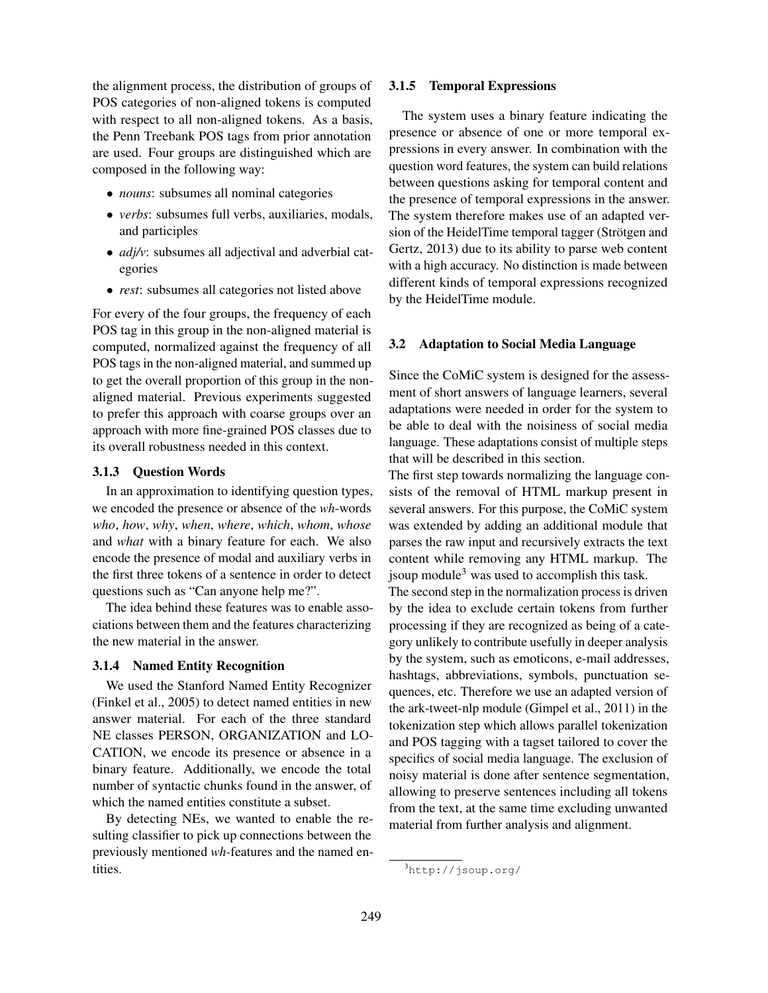the alignment process, the distribution of groups of POS categories of non-aligned tokens is computed with respect to all non-aligned tokens. As a basis, the Penn Treebank POS tags from prior annotation are used. Four groups are distinguished which are composed in the following way:

- *nouns*: subsumes all nominal categories
- *verbs*: subsumes full verbs, auxiliaries, modals, and participles
- *adj/v*: subsumes all adjectival and adverbial categories
- *rest*: subsumes all categories not listed above

For every of the four groups, the frequency of each POS tag in this group in the non-aligned material is computed, normalized against the frequency of all POS tags in the non-aligned material, and summed up to get the overall proportion of this group in the nonaligned material. Previous experiments suggested to prefer this approach with coarse groups over an approach with more fine-grained POS classes due to its overall robustness needed in this context.

# 3.1.3 Question Words

In an approximation to identifying question types, we encoded the presence or absence of the *wh*-words *who*, *how*, *why*, *when*, *where*, *which*, *whom*, *whose* and *what* with a binary feature for each. We also encode the presence of modal and auxiliary verbs in the first three tokens of a sentence in order to detect questions such as "Can anyone help me?".

The idea behind these features was to enable associations between them and the features characterizing the new material in the answer.

#### 3.1.4 Named Entity Recognition

We used the Stanford Named Entity Recognizer (Finkel et al., 2005) to detect named entities in new answer material. For each of the three standard NE classes PERSON, ORGANIZATION and LO-CATION, we encode its presence or absence in a binary feature. Additionally, we encode the total number of syntactic chunks found in the answer, of which the named entities constitute a subset.

By detecting NEs, we wanted to enable the resulting classifier to pick up connections between the previously mentioned *wh-*features and the named entities.

#### 3.1.5 Temporal Expressions

The system uses a binary feature indicating the presence or absence of one or more temporal expressions in every answer. In combination with the question word features, the system can build relations between questions asking for temporal content and the presence of temporal expressions in the answer. The system therefore makes use of an adapted version of the HeidelTime temporal tagger (Strötgen and Gertz, 2013) due to its ability to parse web content with a high accuracy. No distinction is made between different kinds of temporal expressions recognized by the HeidelTime module.

#### 3.2 Adaptation to Social Media Language

Since the CoMiC system is designed for the assessment of short answers of language learners, several adaptations were needed in order for the system to be able to deal with the noisiness of social media language. These adaptations consist of multiple steps that will be described in this section.

The first step towards normalizing the language consists of the removal of HTML markup present in several answers. For this purpose, the CoMiC system was extended by adding an additional module that parses the raw input and recursively extracts the text content while removing any HTML markup. The jsoup module<sup>3</sup> was used to accomplish this task.

The second step in the normalization process is driven by the idea to exclude certain tokens from further processing if they are recognized as being of a category unlikely to contribute usefully in deeper analysis by the system, such as emoticons, e-mail addresses, hashtags, abbreviations, symbols, punctuation sequences, etc. Therefore we use an adapted version of the ark-tweet-nlp module (Gimpel et al., 2011) in the tokenization step which allows parallel tokenization and POS tagging with a tagset tailored to cover the specifics of social media language. The exclusion of noisy material is done after sentence segmentation, allowing to preserve sentences including all tokens from the text, at the same time excluding unwanted material from further analysis and alignment.

<sup>3</sup>http://jsoup.org/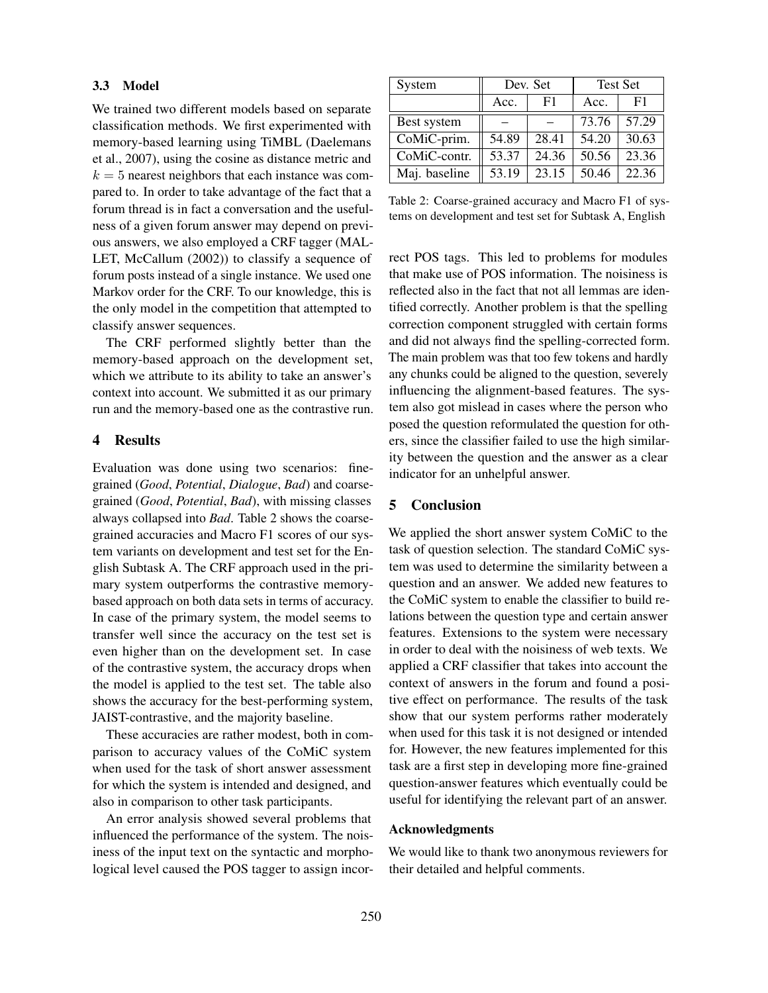#### 3.3 Model

We trained two different models based on separate classification methods. We first experimented with memory-based learning using TiMBL (Daelemans et al., 2007), using the cosine as distance metric and  $k = 5$  nearest neighbors that each instance was compared to. In order to take advantage of the fact that a forum thread is in fact a conversation and the usefulness of a given forum answer may depend on previous answers, we also employed a CRF tagger (MAL-LET, McCallum (2002)) to classify a sequence of forum posts instead of a single instance. We used one Markov order for the CRF. To our knowledge, this is the only model in the competition that attempted to classify answer sequences.

The CRF performed slightly better than the memory-based approach on the development set, which we attribute to its ability to take an answer's context into account. We submitted it as our primary run and the memory-based one as the contrastive run.

### 4 Results

Evaluation was done using two scenarios: finegrained (*Good*, *Potential*, *Dialogue*, *Bad*) and coarsegrained (*Good*, *Potential*, *Bad*), with missing classes always collapsed into *Bad*. Table 2 shows the coarsegrained accuracies and Macro F1 scores of our system variants on development and test set for the English Subtask A. The CRF approach used in the primary system outperforms the contrastive memorybased approach on both data sets in terms of accuracy. In case of the primary system, the model seems to transfer well since the accuracy on the test set is even higher than on the development set. In case of the contrastive system, the accuracy drops when the model is applied to the test set. The table also shows the accuracy for the best-performing system, JAIST-contrastive, and the majority baseline.

These accuracies are rather modest, both in comparison to accuracy values of the CoMiC system when used for the task of short answer assessment for which the system is intended and designed, and also in comparison to other task participants.

An error analysis showed several problems that influenced the performance of the system. The noisiness of the input text on the syntactic and morphological level caused the POS tagger to assign incor-

| System        | Dev. Set |       | <b>Test Set</b> |       |
|---------------|----------|-------|-----------------|-------|
|               | Acc.     | F1    | Acc.            | F1    |
| Best system   |          |       | 73.76           | 57.29 |
| CoMiC-prim.   | 54.89    | 28.41 | 54.20           | 30.63 |
| CoMiC-contr.  | 53.37    | 24.36 | 50.56           | 23.36 |
| Maj. baseline | 53.19    | 23.15 | 50.46           | 22.36 |

Table 2: Coarse-grained accuracy and Macro F1 of systems on development and test set for Subtask A, English

rect POS tags. This led to problems for modules that make use of POS information. The noisiness is reflected also in the fact that not all lemmas are identified correctly. Another problem is that the spelling correction component struggled with certain forms and did not always find the spelling-corrected form. The main problem was that too few tokens and hardly any chunks could be aligned to the question, severely influencing the alignment-based features. The system also got mislead in cases where the person who posed the question reformulated the question for others, since the classifier failed to use the high similarity between the question and the answer as a clear indicator for an unhelpful answer.

# 5 Conclusion

We applied the short answer system CoMiC to the task of question selection. The standard CoMiC system was used to determine the similarity between a question and an answer. We added new features to the CoMiC system to enable the classifier to build relations between the question type and certain answer features. Extensions to the system were necessary in order to deal with the noisiness of web texts. We applied a CRF classifier that takes into account the context of answers in the forum and found a positive effect on performance. The results of the task show that our system performs rather moderately when used for this task it is not designed or intended for. However, the new features implemented for this task are a first step in developing more fine-grained question-answer features which eventually could be useful for identifying the relevant part of an answer.

#### Acknowledgments

We would like to thank two anonymous reviewers for their detailed and helpful comments.